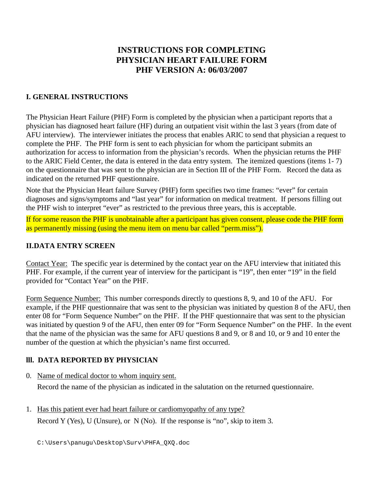# **INSTRUCTIONS FOR COMPLETING PHYSICIAN HEART FAILURE FORM PHF VERSION A: 06/03/2007**

### **I. GENERAL INSTRUCTIONS**

The Physician Heart Failure (PHF) Form is completed by the physician when a participant reports that a physician has diagnosed heart failure (HF) during an outpatient visit within the last 3 years (from date of AFU interview). The interviewer initiates the process that enables ARIC to send that physician a request to complete the PHF. The PHF form is sent to each physician for whom the participant submits an authorization for access to information from the physician's records. When the physician returns the PHF to the ARIC Field Center, the data is entered in the data entry system. The itemized questions (items 1- 7) on the questionnaire that was sent to the physician are in Section III of the PHF Form. Record the data as indicated on the returned PHF questionnaire.

Note that the Physician Heart failure Survey (PHF) form specifies two time frames: "ever" for certain diagnoses and signs/symptoms and "last year" for information on medical treatment. If persons filling out the PHF wish to interpret "ever" as restricted to the previous three years, this is acceptable.

If for some reason the PHF is unobtainable after a participant has given consent, please code the PHF form as permanently missing (using the menu item on menu bar called "perm.miss").

#### **II.DATA ENTRY SCREEN**

Contact Year: The specific year is determined by the contact year on the AFU interview that initiated this PHF. For example, if the current year of interview for the participant is "19", then enter "19" in the field provided for "Contact Year" on the PHF.

Form Sequence Number: This number corresponds directly to questions 8, 9, and 10 of the AFU. For example, if the PHF questionnaire that was sent to the physician was initiated by question 8 of the AFU, then enter 08 for "Form Sequence Number" on the PHF. If the PHF questionnaire that was sent to the physician was initiated by question 9 of the AFU, then enter 09 for "Form Sequence Number" on the PHF. In the event that the name of the physician was the same for AFU questions 8 and 9, or 8 and 10, or 9 and 10 enter the number of the question at which the physician's name first occurred.

#### **lll. DATA REPORTED BY PHYSICIAN**

- 0. Name of medical doctor to whom inquiry sent. Record the name of the physician as indicated in the salutation on the returned questionnaire.
- 1. Has this patient ever had heart failure or cardiomyopathy of any type? Record Y (Yes), U (Unsure), or N (No). If the response is "no", skip to item 3.